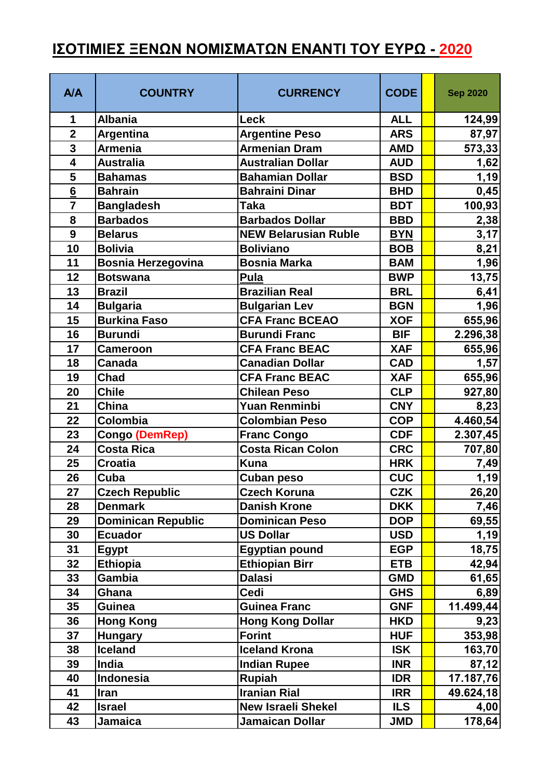## **ΙΣΟΤΙΜΙΕΣ ΞΕΝΩΝ ΝΟΜΙΣΜΑΤΩΝ ΕΝΑΝΤΙ ΤΟΥ ΕΥΡΩ - 2020**

| <b>A/A</b>              | <b>COUNTRY</b>            | <b>CURRENCY</b>             | <b>CODE</b> | <b>Sep 2020</b> |
|-------------------------|---------------------------|-----------------------------|-------------|-----------------|
| 1                       | <b>Albania</b>            | Leck                        | <b>ALL</b>  | 124,99          |
| $\overline{2}$          | Argentina                 | <b>Argentine Peso</b>       | <b>ARS</b>  | 87,97           |
| $\overline{\mathbf{3}}$ | <b>Armenia</b>            | <b>Armenian Dram</b>        | <b>AMD</b>  | 573,33          |
| $\overline{\mathbf{4}}$ | <b>Australia</b>          | <b>Australian Dollar</b>    | <b>AUD</b>  | 1,62            |
| 5                       | <b>Bahamas</b>            | <b>Bahamian Dollar</b>      | <b>BSD</b>  | 1,19            |
| $6\phantom{a}$          | <b>Bahrain</b>            | <b>Bahraini Dinar</b>       | <b>BHD</b>  | 0,45            |
| $\overline{7}$          | <b>Bangladesh</b>         | <b>Taka</b>                 | <b>BDT</b>  | 100,93          |
| 8                       | <b>Barbados</b>           | <b>Barbados Dollar</b>      | <b>BBD</b>  | 2,38            |
| 9                       | <b>Belarus</b>            | <b>NEW Belarusian Ruble</b> | <b>BYN</b>  | 3,17            |
| 10                      | <b>Bolivia</b>            | <b>Boliviano</b>            | <b>BOB</b>  | 8,21            |
| 11                      | <b>Bosnia Herzegovina</b> | <b>Bosnia Marka</b>         | <b>BAM</b>  | 1,96            |
| 12                      | <b>Botswana</b>           | Pula                        | <b>BWP</b>  | 13,75           |
| 13                      | <b>Brazil</b>             | <b>Brazilian Real</b>       | <b>BRL</b>  | 6,41            |
| 14                      | <b>Bulgaria</b>           | <b>Bulgarian Lev</b>        | <b>BGN</b>  | 1,96            |
| 15                      | <b>Burkina Faso</b>       | <b>CFA Franc BCEAO</b>      | <b>XOF</b>  | 655,96          |
| 16                      | <b>Burundi</b>            | <b>Burundi Franc</b>        | <b>BIF</b>  | 2.296,38        |
| 17                      | <b>Cameroon</b>           | <b>CFA Franc BEAC</b>       | <b>XAF</b>  | 655,96          |
| 18                      | <b>Canada</b>             | Canadian Dollar             | <b>CAD</b>  | 1,57            |
| 19                      | <b>Chad</b>               | <b>CFA Franc BEAC</b>       | <b>XAF</b>  | 655,96          |
| 20                      | <b>Chile</b>              | <b>Chilean Peso</b>         | <b>CLP</b>  | 927,80          |
| 21                      | <b>China</b>              | <b>Yuan Renminbi</b>        | <b>CNY</b>  | 8,23            |
| 22                      | Colombia                  | <b>Colombian Peso</b>       | <b>COP</b>  | 4.460,54        |
| 23                      | Congo (DemRep)            | <b>Franc Congo</b>          | <b>CDF</b>  | 2.307,45        |
| 24                      | <b>Costa Rica</b>         | <b>Costa Rican Colon</b>    | <b>CRC</b>  | 707,80          |
| 25                      | <b>Croatia</b>            | <b>Kuna</b>                 | <b>HRK</b>  | 7,49            |
| 26                      | Cuba                      | Cuban peso                  | <b>CUC</b>  | 1,19            |
| 27                      | <b>Czech Republic</b>     | <b>Czech Koruna</b>         | <b>CZK</b>  | 26,20           |
| 28                      | <b>Denmark</b>            | <b>Danish Krone</b>         | <b>DKK</b>  | 7,46            |
| 29                      | <b>Dominican Republic</b> | <b>Dominican Peso</b>       | <b>DOP</b>  | 69,55           |
| 30                      | <b>Ecuador</b>            | <b>US Dollar</b>            | <b>USD</b>  | 1,19            |
| 31                      | <b>Egypt</b>              | <b>Egyptian pound</b>       | <b>EGP</b>  | 18,75           |
| 32                      | <b>Ethiopia</b>           | <b>Ethiopian Birr</b>       | <b>ETB</b>  | 42,94           |
| 33                      | Gambia                    | <b>Dalasi</b>               | <b>GMD</b>  | 61,65           |
| 34                      | Ghana                     | <b>Cedi</b>                 | <b>GHS</b>  | 6,89            |
| 35                      | <b>Guinea</b>             | <b>Guinea Franc</b>         | <b>GNF</b>  | 11.499,44       |
| 36                      | <b>Hong Kong</b>          | <b>Hong Kong Dollar</b>     | <b>HKD</b>  | 9,23            |
| 37                      | <b>Hungary</b>            | <b>Forint</b>               | <b>HUF</b>  | 353,98          |
| 38                      | <b>Iceland</b>            | <b>Iceland Krona</b>        | <b>ISK</b>  | 163,70          |
| 39                      | India                     | <b>Indian Rupee</b>         | <b>INR</b>  | 87,12           |
| 40                      | Indonesia                 | <b>Rupiah</b>               | <b>IDR</b>  | 17.187,76       |
| 41                      | Iran                      | <b>Iranian Rial</b>         | <b>IRR</b>  | 49.624,18       |
| 42                      | <b>Israel</b>             | <b>New Israeli Shekel</b>   | <b>ILS</b>  | 4,00            |
| 43                      | <b>Jamaica</b>            | <b>Jamaican Dollar</b>      | <b>JMD</b>  | 178,64          |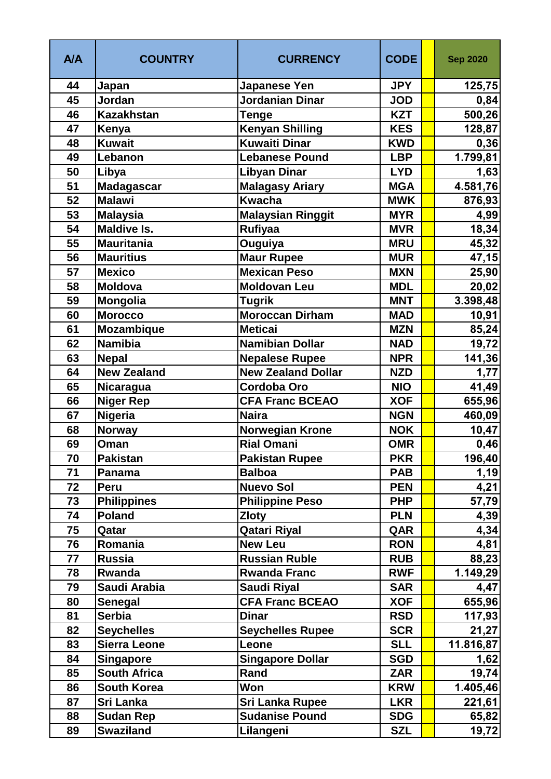| <b>A/A</b> | <b>COUNTRY</b>      | <b>CURRENCY</b>           | <b>CODE</b> | <b>Sep 2020</b> |
|------------|---------------------|---------------------------|-------------|-----------------|
| 44         | Japan               | <b>Japanese Yen</b>       | <b>JPY</b>  | 125,75          |
| 45         | Jordan              | Jordanian Dinar           | <b>JOD</b>  | 0,84            |
| 46         | <b>Kazakhstan</b>   | Tenge                     | <b>KZT</b>  | 500,26          |
| 47         | Kenya               | <b>Kenyan Shilling</b>    | <b>KES</b>  | 128,87          |
| 48         | <b>Kuwait</b>       | Kuwaiti Dinar             | <b>KWD</b>  | 0,36            |
| 49         | Lebanon             | <b>Lebanese Pound</b>     | <b>LBP</b>  | 1.799,81        |
| 50         | Libya               | <b>Libyan Dinar</b>       | <b>LYD</b>  | 1,63            |
| 51         | <b>Madagascar</b>   | <b>Malagasy Ariary</b>    | <b>MGA</b>  | 4.581,76        |
| 52         | <b>Malawi</b>       | <b>Kwacha</b>             | <b>MWK</b>  | 876,93          |
| 53         | <b>Malaysia</b>     | <b>Malaysian Ringgit</b>  | <b>MYR</b>  | 4,99            |
| 54         | <b>Maldive Is.</b>  | <b>Rufiyaa</b>            | <b>MVR</b>  | 18,34           |
| 55         | <b>Mauritania</b>   | Ouguiya                   | <b>MRU</b>  | 45,32           |
| 56         | <b>Mauritius</b>    | <b>Maur Rupee</b>         | <b>MUR</b>  | 47,15           |
| 57         | <b>Mexico</b>       | <b>Mexican Peso</b>       | <b>MXN</b>  | 25,90           |
| 58         | <b>Moldova</b>      | <b>Moldovan Leu</b>       | <b>MDL</b>  | 20,02           |
| 59         | <b>Mongolia</b>     | <b>Tugrik</b>             | <b>MNT</b>  | 3.398,48        |
| 60         | <b>Morocco</b>      | <b>Moroccan Dirham</b>    | <b>MAD</b>  | 10,91           |
| 61         | <b>Mozambique</b>   | <b>Meticai</b>            | <b>MZN</b>  | 85,24           |
| 62         | <b>Namibia</b>      | <b>Namibian Dollar</b>    | <b>NAD</b>  | 19,72           |
| 63         | <b>Nepal</b>        | <b>Nepalese Rupee</b>     | <b>NPR</b>  | 141,36          |
| 64         | <b>New Zealand</b>  | <b>New Zealand Dollar</b> | <b>NZD</b>  | 1,77            |
| 65         | Nicaragua           | <b>Cordoba Oro</b>        | <b>NIO</b>  | 41,49           |
| 66         | <b>Niger Rep</b>    | <b>CFA Franc BCEAO</b>    | <b>XOF</b>  | 655,96          |
| 67         | <b>Nigeria</b>      | <b>Naira</b>              | <b>NGN</b>  | 460,09          |
| 68         | <b>Norway</b>       | Norwegian Krone           | <b>NOK</b>  | 10,47           |
| 69         | Oman                | <b>Rial Omani</b>         | <b>OMR</b>  | 0,46            |
| 70         | <b>Pakistan</b>     | Pakistan Rupee            | <b>PKR</b>  | 196,40          |
| 71         | Panama              | <b>Balboa</b>             | <b>PAB</b>  | 1,19            |
| 72         | Peru                | <b>Nuevo Sol</b>          | <b>PEN</b>  | 4,21            |
| 73         | <b>Philippines</b>  | <b>Philippine Peso</b>    | <b>PHP</b>  | 57,79           |
| 74         | <b>Poland</b>       | <b>Zloty</b>              | <b>PLN</b>  | 4,39            |
| 75         | Qatar               | <b>Qatari Riyal</b>       | QAR         | 4,34            |
| 76         | Romania             | <b>New Leu</b>            | <b>RON</b>  | 4,81            |
| 77         | <b>Russia</b>       | <b>Russian Ruble</b>      | <b>RUB</b>  | 88,23           |
| 78         | Rwanda              | <b>Rwanda Franc</b>       | <b>RWF</b>  | 1.149,29        |
| 79         | Saudi Arabia        | <b>Saudi Riyal</b>        | <b>SAR</b>  | 4,47            |
| 80         | Senegal             | <b>CFA Franc BCEAO</b>    | <b>XOF</b>  | 655,96          |
| 81         | <b>Serbia</b>       | <b>Dinar</b>              | <b>RSD</b>  | 117,93          |
| 82         | <b>Seychelles</b>   | <b>Seychelles Rupee</b>   | <b>SCR</b>  | 21,27           |
| 83         | <b>Sierra Leone</b> | Leone                     | <b>SLL</b>  | 11.816,87       |
| 84         | <b>Singapore</b>    | <b>Singapore Dollar</b>   | <b>SGD</b>  | 1,62            |
| 85         | <b>South Africa</b> | Rand                      | <b>ZAR</b>  | 19,74           |
| 86         | <b>South Korea</b>  | Won                       | <b>KRW</b>  | 1.405,46        |
| 87         | Sri Lanka           | <b>Sri Lanka Rupee</b>    | <b>LKR</b>  | 221,61          |
| 88         | <b>Sudan Rep</b>    | <b>Sudanise Pound</b>     | <b>SDG</b>  | 65,82           |
| 89         | <b>Swaziland</b>    | Lilangeni                 | <b>SZL</b>  | 19,72           |